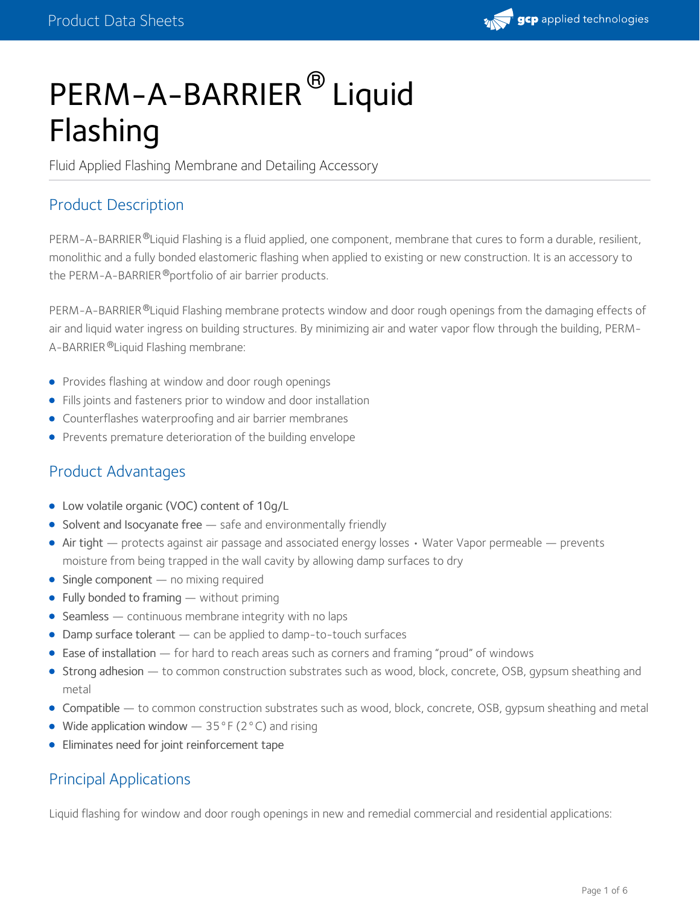

# PERM-A-BARRIER<sup>®</sup> Liquid Flashing

Fluid Applied Flashing Membrane and Detailing Accessory

# Product Description

PERM-A-BARRIER ®Liquid Flashing is a fluid applied, one component, membrane that cures to form a durable, resilient, monolithic and a fully bonded elastomeric flashing when applied to existing or new construction. It is an accessory to the PERM-A-BARRIER ®portfolio of air barrier products.

PERM-A-BARRIER®Liquid Flashing membrane protects window and door rough openings from the damaging effects of air and liquid water ingress on building structures. By minimizing air and water vapor flow through the building, PERM- A-BARRIER ®Liquid Flashing membrane:

- Provides flashing at window and door rough openings
- Fills joints and fasteners prior to window and door installation
- Counterflashes waterproofing and air barrier membranes
- **•** Prevents premature deterioration of the building envelope

#### Product Advantages

- Low volatile organic (VOC) content of 10g/L
- Solvent and Isocyanate free safe and environmentally friendly
- Air tight protects against air passage and associated energy losses Water Vapor permeable prevents moisture from being trapped in the wall cavity by allowing damp surfaces to dry
- Single component no mixing required
- Fully bonded to framing without priming
- **Seamless** continuous membrane integrity with no laps
- Damp surface tolerant can be applied to damp-to-touch surfaces
- Ease of installation for hard to reach areas such as corners and framing "proud" of windows
- Strong adhesion to common construction substrates such as wood, block, concrete, OSB, gypsum sheathing and metal
- Compatible to common construction substrates such as wood, block, concrete, OSB, gypsum sheathing and metal
- Wide application window  $-$  35°F (2°C) and rising
- Eliminates need for joint reinforcement tape

#### Principal Applications

Liquid flashing for window and door rough openings in new and remedial commercial and residential applications: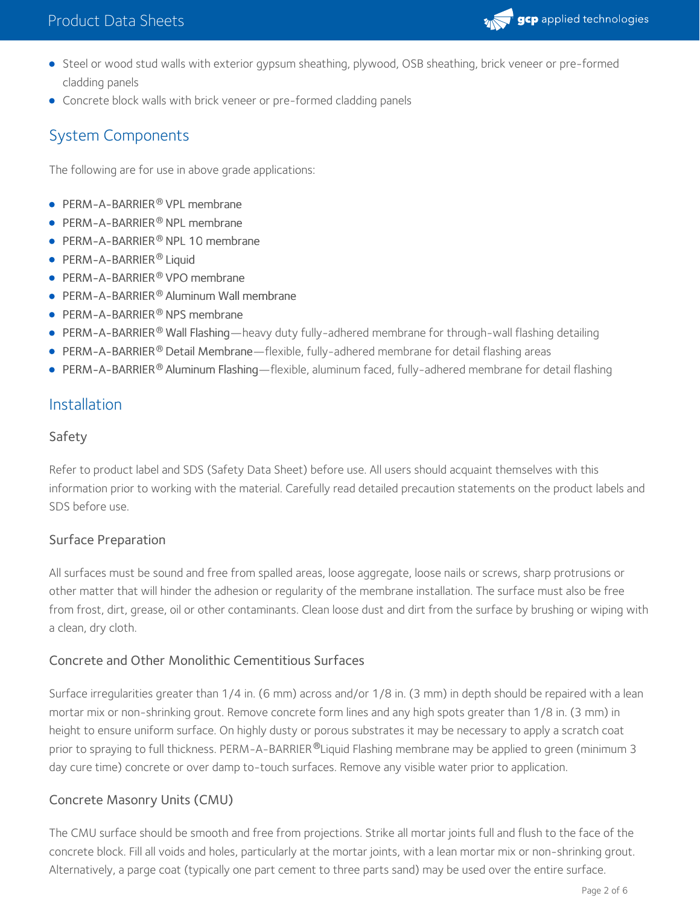### Product Data Sheets



- Steel or wood stud walls with exterior gypsum sheathing, plywood, OSB sheathing, brick veneer or pre-formed cladding panels
- Concrete block walls with brick veneer or pre-formed cladding panels

# System Components

The following are for use in above grade applications:

- **PERM-A-BARRIER® VPL membrane**
- $\bullet$  PFRM-A-BARRIFR<sup>®</sup> NPL membrane
- $\bullet$  PERM-A-BARRIER® NPL 10 membrane
- PERM-A-BARRIER® Liquid
- PERM-A-BARRIER<sup>®</sup> VPO membrane
- $\bullet$  PERM-A-BARRIER ® Aluminum Wall membrane
- $\bullet$  PERM-A-BARRIER<sup>®</sup> NPS membrane
- $\sf PERM-A-BARRIER^@$  Wall Flashing—heavy duty fully-adhered membrane for through-wall flashing detailing
- **PERM-A-BARRIER<sup>®</sup> Detail Membrane**—flexible, fully-adhered membrane for detail flashing areas
- <code>PERM-A-BARRIER®</code> Aluminum Flashing—flexible, aluminum faced, fully-adhered membrane for detail flashing

#### Installation

#### Safety

Refer to product label and SDS (Safety Data Sheet) before use. All users should acquaint themselves with this information prior to working with the material. Carefully read detailed precaution statements on the product labels and SDS before use.

#### Surface Preparation

All surfaces must be sound and free from spalled areas, loose aggregate, loose nails or screws, sharp protrusions or other matter that will hinder the adhesion or regularity of the membrane installation. The surface must also be free from frost, dirt, grease, oil or other contaminants. Clean loose dust and dirt from the surface by brushing or wiping with a clean, dry cloth.

#### Concrete and Other Monolithic Cementitious Surfaces

Surface irregularities greater than 1/4 in. (6 mm) across and/or 1/8 in. (3 mm) in depth should be repaired with a lean mortar mix or non-shrinking grout. Remove concrete form lines and any high spots greater than 1/8 in. (3 mm) in height to ensure uniform surface. On highly dusty or porous substrates it may be necessary to apply a scratch coat prior to spraying to full thickness. PERM-A-BARRIER®Liquid Flashing membrane may be applied to green (minimum 3 day cure time) concrete or over damp to-touch surfaces. Remove any visible water prior to application.

#### Concrete Masonry Units (CMU)

The CMU surface should be smooth and free from projections. Strike all mortar joints full and flush to the face of the concrete block. Fill all voids and holes, particularly at the mortar joints, with a lean mortar mix or non-shrinking grout. Alternatively, a parge coat (typically one part cement to three parts sand) may be used over the entire surface.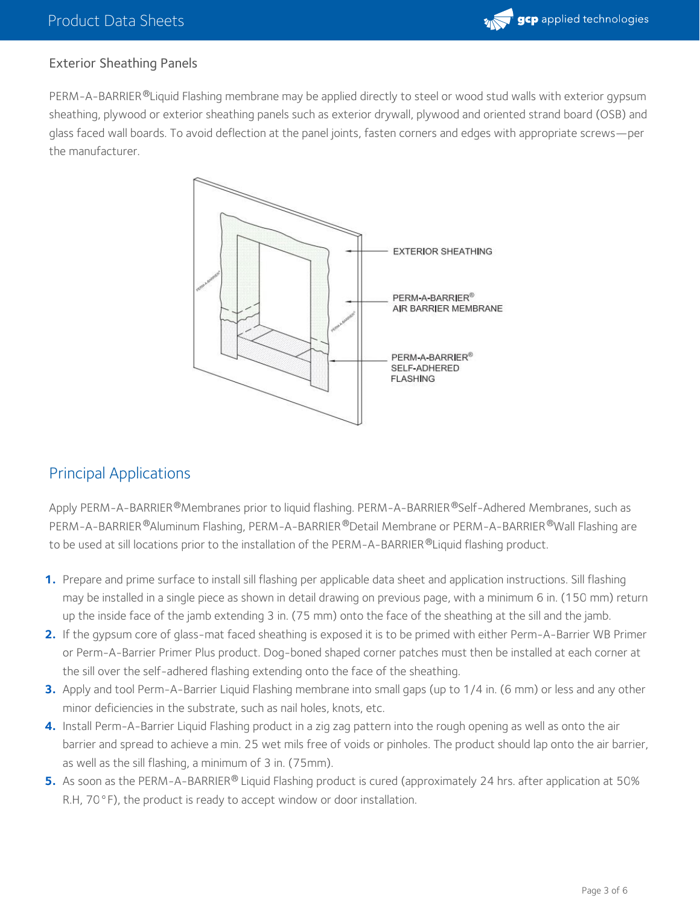

## Exterior Sheathing Panels

PERM-A-BARRIER®Liquid Flashing membrane may be applied directly to steel or wood stud walls with exterior gypsum sheathing, plywood or exterior sheathing panels such as exterior drywall, plywood and oriented strand board (OSB) and glass faced wall boards. To avoid deflection at the panel joints, fasten corners and edges with appropriate screws—per the manufacturer.



# Principal Applications

Apply PERM-A-BARRIER®Membranes prior to liquid flashing. PERM-A-BARRIER®Self-Adhered Membranes, such as PERM-A-BARRIER®Aluminum Flashing, PERM-A-BARRIER®Detail Membrane or PERM-A-BARRIER®Wall Flashing are to be used at sill locations prior to the installation of the PERM-A-BARRIER®Liquid flashing product.

- 1. Prepare and prime surface to install sill flashing per applicable data sheet and application instructions. Sill flashing may be installed in a single piece as shown in detail drawing on previous page, with a minimum 6 in. (150 mm) return up the inside face of the jamb extending 3 in. (75 mm) onto the face of the sheathing at the silland the jamb.
- If the gypsum core of glass-mat faced sheathing is exposed it is to be primed with either Perm-A-Barrier WB Primer **2.** or Perm-A-Barrier Primer Plus product. Dog-boned shaped corner patches must then be installed at each corner at the sill over the self-adhered flashing extending onto the face of the sheathing.
- 3. Apply and tool Perm-A-Barrier Liquid Flashing membrane into small gaps (up to 1/4 in. (6 mm) or less and any other minor deficiencies in the substrate, such as nail holes, knots, etc. **3.**
- Install Perm-A-Barrier Liquid Flashing product in a zig zag pattern into the rough opening as well as onto the air **4.** barrier and spread to achieve a min. 25 wet mils free of voids or pinholes. The product should lap onto the air barrier, as well as the sill flashing, a minimum of 3 in. (75mm).
- 5. As soon as the PERM-A-BARRIER<sup>®</sup> Liquid Flashing product is cured (approximately 24 hrs. after application at 50% R.H, 70°F), the product is ready to accept window or door installation.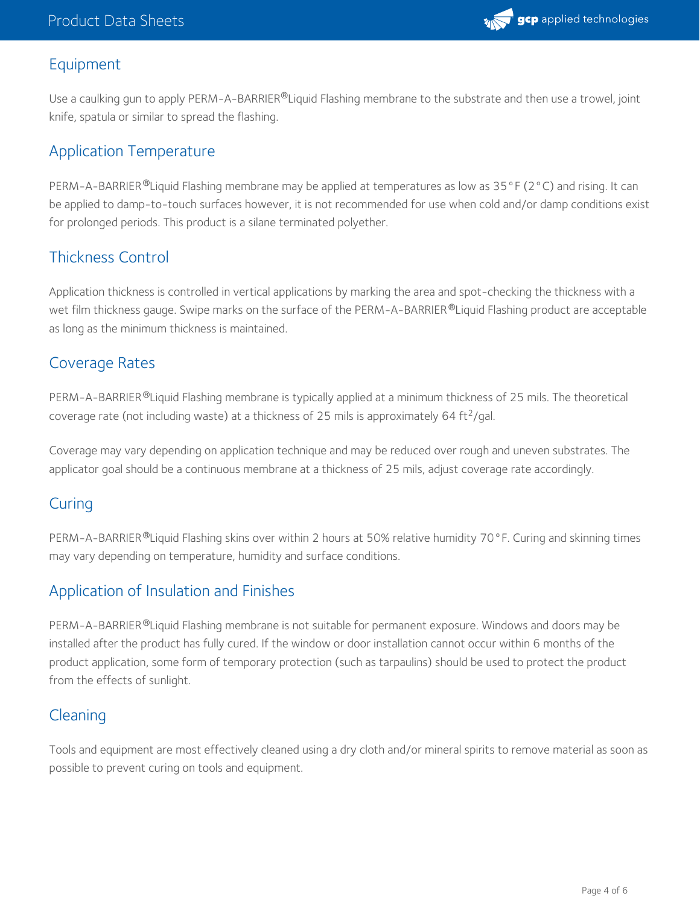

## Equipment

Use a caulking gun to apply PERM-A-BARRIER®Liquid Flashing membrane to the substrate and then use a trowel, joint knife, spatula or similar to spread the flashing.

### Application Temperature

PERM-A-BARRIER®Liquid Flashing membrane may be applied at temperatures as low as 35°F (2°C) and rising. It can be applied to damp-to-touch surfaces however, it is not recommended for use when cold and/or damp conditions exist for prolonged periods. This product is a silane terminated polyether.

## Thickness Control

Application thickness is controlled in vertical applications by marking the area and spot-checking the thickness with a wet film thickness gauge. Swipe marks on the surface of the PERM-A-BARRIER®Liquid Flashing product are acceptable as long as the minimum thickness is maintained.

# Coverage Rates

PERM-A-BARRIER®Liquid Flashing membrane is typically applied at a minimum thickness of 25 mils. The theoretical coverage rate (not including waste) at a thickness of 25 mils is approximately 64 ft<sup>2</sup>/gal.

Coverage may vary depending on application technique and may be reduced over rough and uneven substrates. The applicator goal should be a continuous membrane at a thickness of 25 mils, adjust coverage rate accordingly.

## **Curing**

PERM-A-BARRIER®Liquid Flashing skins over within 2 hours at 50% relative humidity 70°F. Curing and skinning times may vary depending on temperature, humidity and surface conditions.

#### Application of Insulation and Finishes

PERM-A-BARRIER ®Liquid Flashing membrane is not suitable for permanent exposure. Windows and doors may be installed after the product has fully cured. If the window or door installation cannot occur within 6 months of the product application, some form of temporary protection (such as tarpaulins) should be used to protect the product from the effects of sunlight.

# Cleaning

Tools and equipment are most effectively cleaned using a dry cloth and/or mineral spirits to remove material as soon as possible to prevent curing on tools and equipment.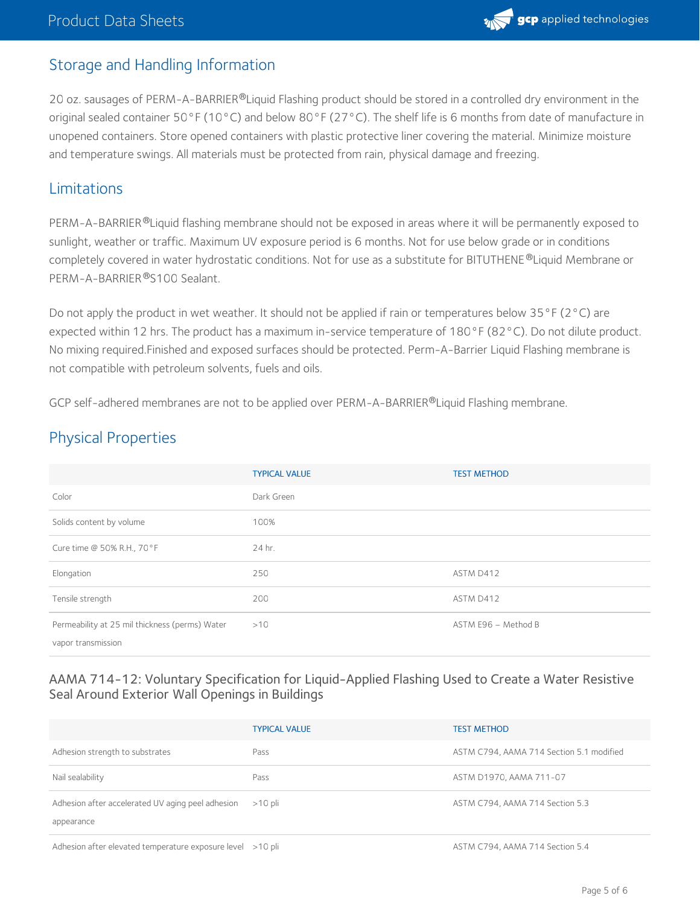

## Storage and Handling Information

20 oz. sausages of PERM-A-BARRIER®Liquid Flashing product should be stored in a controlled dry environment in the original sealed container 50°F (10°C) and below 80°F (27°C). The shelf life is 6 months from date of manufacture in unopened containers. Store opened containers with plastic protective liner covering the material. Minimize moisture and temperature swings. All materials must be protected from rain, physical damage and freezing.

#### Limitations

PERM-A-BARRIER®Liquid flashing membrane should not be exposed in areas where it will be permanently exposed to sunlight, weather or traffic. Maximum UV exposure period is 6 months. Not for use below grade or in conditions completely covered in water hydrostatic conditions. Not for use as a substitute for BITUTHENE®Liquid Membrane or PERM-A-BARRIER®S100 Sealant.

Do not apply the product in wet weather. It should not be applied if rain or temperatures below  $35^{\circ}$  F (2 $^{\circ}$ C) are expected within 12 hrs. The product has a maximum in-service temperature of 180°F (82°C). Do not dilute product. No mixing required.Finished and exposed surfaces should be protected. Perm-A-Barrier Liquid Flashing membrane is not compatible with petroleum solvents, fuels and oils.

GCP self-adhered membranes are not to be applied over PERM-A-BARRIER®Liquid Flashing membrane.

# Physical Properties

|                                                | <b>TYPICAL VALUE</b> | <b>TEST METHOD</b>  |
|------------------------------------------------|----------------------|---------------------|
| Color                                          | Dark Green           |                     |
| Solids content by volume                       | 100%                 |                     |
| Cure time @ 50% R.H., 70°F                     | 24 hr.               |                     |
| Elongation                                     | 250                  | ASTM D412           |
| Tensile strength                               | 200                  | ASTM D412           |
| Permeability at 25 mil thickness (perms) Water | >10                  | ASTM E96 - Method B |
| vapor transmission                             |                      |                     |

#### AAMA 714-12: Voluntary Specification for Liquid-Applied Flashing Used to Create a Water Resistive Seal Around Exterior Wall Openings in Buildings

|                                                                                               | <b>TYPICAL VALUE</b> | <b>TEST METHOD</b>                       |
|-----------------------------------------------------------------------------------------------|----------------------|------------------------------------------|
| Adhesion strength to substrates                                                               | Pass                 | ASTM C794, AAMA 714 Section 5.1 modified |
| Nail sealability                                                                              | Pass                 | ASTM D1970, AAMA 711-07                  |
| Adhesion after accelerated UV aging peel adhesion                                             | >10 pli              | ASTM C794, AAMA 714 Section 5.3          |
| appearance<br>. A dheestad of the change during a continue of the control of the A O official |                      |                                          |

Adhesion after elevated temperature exposure level >10 pli ASTM C794, AAMA 714 Section 5.4